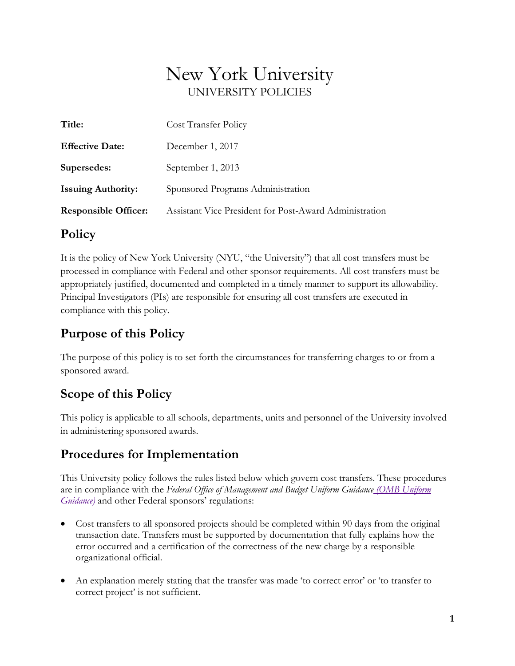# New York University UNIVERSITY POLICIES

| Title:                      | Cost Transfer Policy                                   |
|-----------------------------|--------------------------------------------------------|
| <b>Effective Date:</b>      | December 1, 2017                                       |
| Supersedes:                 | September 1, 2013                                      |
| <b>Issuing Authority:</b>   | Sponsored Programs Administration                      |
| <b>Responsible Officer:</b> | Assistant Vice President for Post-Award Administration |

### **Policy**

It is the policy of New York University (NYU, "the University") that all cost transfers must be processed in compliance with Federal and other sponsor requirements. All cost transfers must be appropriately justified, documented and completed in a timely manner to support its allowability. Principal Investigators (PIs) are responsible for ensuring all cost transfers are executed in compliance with this policy.

### **Purpose of this Policy**

The purpose of this policy is to set forth the circumstances for transferring charges to or from a sponsored award.

### **Scope of this Policy**

This policy is applicable to all schools, departments, units and personnel of the University involved in administering sponsored awards.

## **Procedures for Implementation**

This University policy follows the rules listed below which govern cost transfers. These procedures are in compliance with the *Federal Office of Management and Budget Uniform Guidance [\(OMB Uniform](http://www.ecfr.gov/cgi-bin/text-idx?tpl=/ecfrbrowse/Title02/2cfr200_main_02.tpl)  Guidance*) and other Federal sponsors' regulations:

- Cost transfers to all sponsored projects should be completed within 90 days from the original transaction date. Transfers must be supported by documentation that fully explains how the error occurred and a certification of the correctness of the new charge by a responsible organizational official.
- An explanation merely stating that the transfer was made 'to correct error' or 'to transfer to correct project' is not sufficient.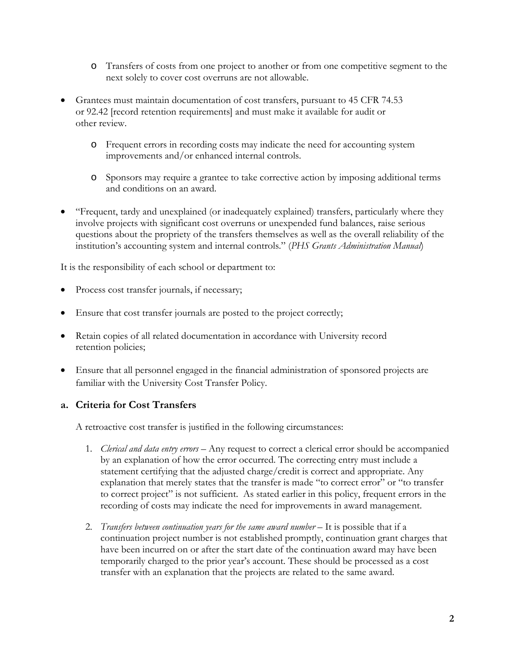- o Transfers of costs from one project to another or from one competitive segment to the next solely to cover cost overruns are not allowable.
- Grantees must maintain documentation of cost transfers, pursuant to 45 CFR 74.53 or 92.42 [record retention requirements] and must make it available for audit or other review.
	- o Frequent errors in recording costs may indicate the need for accounting system improvements and/or enhanced internal controls.
	- o Sponsors may require a grantee to take corrective action by imposing additional terms and conditions on an award.
- "Frequent, tardy and unexplained (or inadequately explained) transfers, particularly where they involve projects with significant cost overruns or unexpended fund balances, raise serious questions about the propriety of the transfers themselves as well as the overall reliability of the institution's accounting system and internal controls." (*PHS Grants Administration Manual*)

It is the responsibility of each school or department to:

- Process cost transfer journals, if necessary;
- Ensure that cost transfer journals are posted to the project correctly;
- Retain copies of all related documentation in accordance with University record retention policies;
- Ensure that all personnel engaged in the financial administration of sponsored projects are familiar with the University Cost Transfer Policy*.*

#### **a. Criteria for Cost Transfers**

A retroactive cost transfer is justified in the following circumstances:

- 1. *Clerical and data entry errors*  Any request to correct a clerical error should be accompanied by an explanation of how the error occurred. The correcting entry must include a statement certifying that the adjusted charge/credit is correct and appropriate. Any explanation that merely states that the transfer is made "to correct error" or "to transfer to correct project" is not sufficient. As stated earlier in this policy, frequent errors in the recording of costs may indicate the need for improvements in award management.
- 2. *Transfers between continuation years for the same award number* It is possible that if a continuation project number is not established promptly, continuation grant charges that have been incurred on or after the start date of the continuation award may have been temporarily charged to the prior year's account. These should be processed as a cost transfer with an explanation that the projects are related to the same award.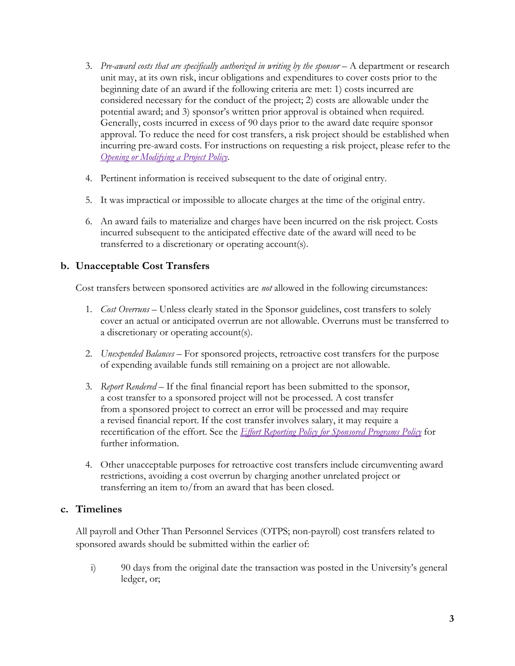- 3. *Pre-award costs that are specifically authorized in writing by the sponsor* A department or research unit may, at its own risk, incur obligations and expenditures to cover costs prior to the beginning date of an award if the following criteria are met: 1) costs incurred are considered necessary for the conduct of the project; 2) costs are allowable under the potential award; and 3) sponsor's written prior approval is obtained when required. Generally, costs incurred in excess of 90 days prior to the award date require sponsor approval. To reduce the need for cost transfers, a risk project should be established when incurring pre-award costs. For instructions on requesting a risk project, please refer to the *[Opening or Modifying a Project Policy](http://www.nyu.edu/about/policies-guidelines-compliance/policies-and-guidelines/opening-or-modifying-a-project-policy.html)*.
- 4. Pertinent information is received subsequent to the date of original entry.
- 5. It was impractical or impossible to allocate charges at the time of the original entry.
- 6. An award fails to materialize and charges have been incurred on the risk project. Costs incurred subsequent to the anticipated effective date of the award will need to be transferred to a discretionary or operating account(s).

#### **b. Unacceptable Cost Transfers**

Cost transfers between sponsored activities are *not* allowed in the following circumstances:

- 1. *Cost Overruns* Unless clearly stated in the Sponsor guidelines, cost transfers to solely cover an actual or anticipated overrun are not allowable. Overruns must be transferred to a discretionary or operating account(s).
- 2. *Unexpended Balances* For sponsored projects, retroactive cost transfers for the purpose of expending available funds still remaining on a project are not allowable.
- 3. *Report Rendered* If the final financial report has been submitted to the sponsor, a cost transfer to a sponsored project will not be processed. A cost transfer from a sponsored project to correct an error will be processed and may require a revised financial report. If the cost transfer involves salary, it may require a recertification of the effort. See the *[Effort Reporting Policy for Sponsored Programs](http://www.nyu.edu/about/policies-guidelines-compliance/policies-and-guidelines/effort-reporting-policy-for-sponsored-programs.html) Policy* for further information.
- 4. Other unacceptable purposes for retroactive cost transfers include circumventing award restrictions, avoiding a cost overrun by charging another unrelated project or transferring an item to/from an award that has been closed.

#### **c. Timelines**

All payroll and Other Than Personnel Services (OTPS; non-payroll) cost transfers related to sponsored awards should be submitted within the earlier of:

i) 90 days from the original date the transaction was posted in the University's general ledger, or;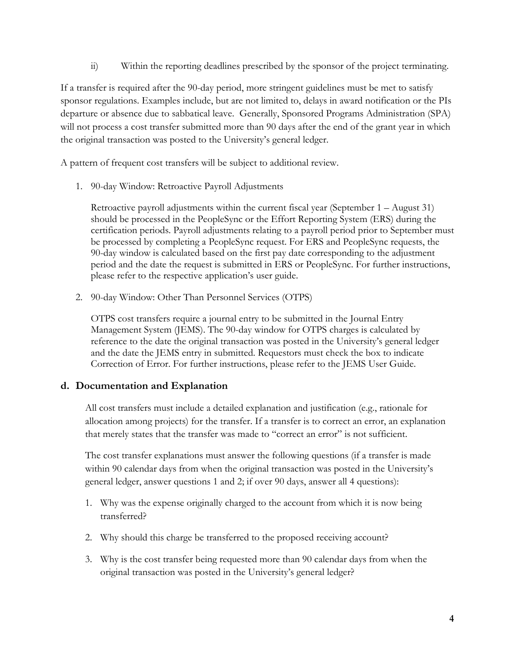ii) Within the reporting deadlines prescribed by the sponsor of the project terminating.

If a transfer is required after the 90-day period, more stringent guidelines must be met to satisfy sponsor regulations. Examples include, but are not limited to, delays in award notification or the PIs departure or absence due to sabbatical leave. Generally, Sponsored Programs Administration (SPA) will not process a cost transfer submitted more than 90 days after the end of the grant year in which the original transaction was posted to the University's general ledger.

A pattern of frequent cost transfers will be subject to additional review.

1. 90-day Window: Retroactive Payroll Adjustments

Retroactive payroll adjustments within the current fiscal year (September 1 – August 31) should be processed in the PeopleSync or the [Effort Reporting System \(ERS\)](http://www.nyu.edu/its/servicecatalog/details.php?i=100) during the certification periods. Payroll adjustments relating to a payroll period prior to September must be processed by completing a PeopleSync request. For ERS and PeopleSync requests, the 90-day window is calculated based on the first pay date corresponding to the adjustment period and the date the request is submitted in ERS or PeopleSync. For further instructions, please refer to the respective application's user guide.

2. 90-day Window: Other Than Personnel Services (OTPS)

OTPS cost transfers require a journal entry to be submitted in the Journal Entry Management System (JEMS). The 90-day window for OTPS charges is calculated by reference to the date the original transaction was posted in the University's general ledger and the date the JEMS entry in submitted. Requestors must check the box to indicate Correction of Error. For further instructions, please refer to the JEMS User Guide.

#### **d. Documentation and Explanation**

All cost transfers must include a detailed explanation and justification (e.g., rationale for allocation among projects) for the transfer. If a transfer is to correct an error, an explanation that merely states that the transfer was made to "correct an error" is not sufficient.

The cost transfer explanations must answer the following questions (if a transfer is made within 90 calendar days from when the original transaction was posted in the University's general ledger, answer questions 1 and 2; if over 90 days, answer all 4 questions):

- 1. Why was the expense originally charged to the account from which it is now being transferred?
- 2. Why should this charge be transferred to the proposed receiving account?
- 3. Why is the cost transfer being requested more than 90 calendar days from when the original transaction was posted in the University's general ledger?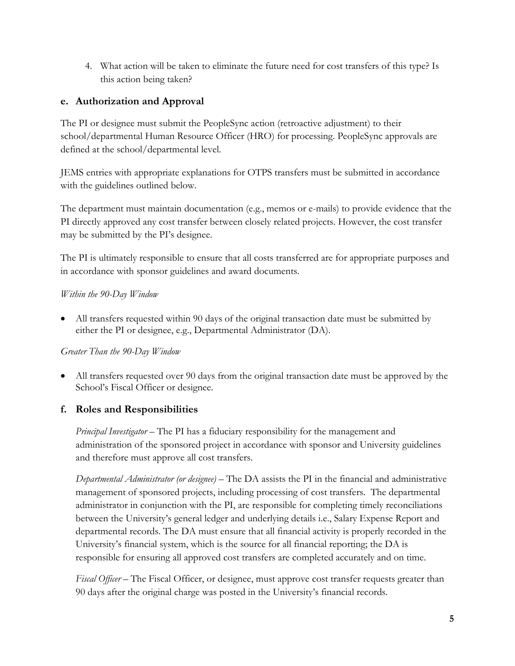4. What action will be taken to eliminate the future need for cost transfers of this type? Is this action being taken?

### **e. Authorization and Approval**

The PI or designee must submit the PeopleSync action (retroactive adjustment) to their school/departmental Human Resource Officer (HRO) for processing. PeopleSync approvals are defined at the school/departmental level.

JEMS entries with appropriate explanations for OTPS transfers must be submitted in accordance with the guidelines outlined below.

The department must maintain documentation (e.g., memos or e-mails) to provide evidence that the PI directly approved any cost transfer between closely related projects. However, the cost transfer may be submitted by the PI's designee.

The PI is ultimately responsible to ensure that all costs transferred are for appropriate purposes and in accordance with sponsor guidelines and award documents.

#### *Within the 90-Day Window*

• All transfers requested within 90 days of the original transaction date must be submitted by either the PI or designee, e.g., Departmental Administrator (DA).

*Greater Than the 90-Day Window*

• All transfers requested over 90 days from the original transaction date must be approved by the School's Fiscal Officer or designee.

### **f. Roles and Responsibilities**

*Principal Investigator* – The PI has a fiduciary responsibility for the management and administration of the sponsored project in accordance with sponsor and University guidelines and therefore must approve all cost transfers.

*Departmental Administrator (or designee)* – The DA assists the PI in the financial and administrative management of sponsored projects, including processing of cost transfers. The departmental administrator in conjunction with the PI, are responsible for completing timely reconciliations between the University's general ledger and underlying details i.e., Salary Expense Report and departmental records. The DA must ensure that all financial activity is properly recorded in the University's financial system, which is the source for all financial reporting; the DA is responsible for ensuring all approved cost transfers are completed accurately and on time.

*Fiscal Officer* – The Fiscal Officer, or designee, must approve cost transfer requests greater than 90 days after the original charge was posted in the University's financial records.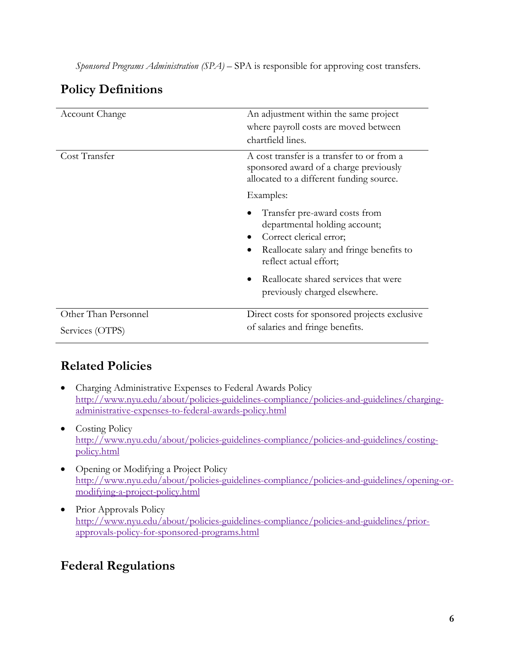*Sponsored Programs Administration (SPA)* – SPA is responsible for approving cost transfers.

## **Policy Definitions**

| Account Change       | An adjustment within the same project<br>where payroll costs are moved between<br>chartfield lines.                                                             |
|----------------------|-----------------------------------------------------------------------------------------------------------------------------------------------------------------|
| Cost Transfer        | A cost transfer is a transfer to or from a<br>sponsored award of a charge previously<br>allocated to a different funding source.                                |
|                      | Examples:                                                                                                                                                       |
|                      | Transfer pre-award costs from<br>departmental holding account;<br>Correct clerical error;<br>Reallocate salary and fringe benefits to<br>reflect actual effort; |
|                      | Reallocate shared services that were<br>previously charged elsewhere.                                                                                           |
| Other Than Personnel | Direct costs for sponsored projects exclusive                                                                                                                   |
| Services (OTPS)      | of salaries and fringe benefits.                                                                                                                                |

## **Related Policies**

- Charging Administrative Expenses to Federal Awards Policy [http://www.nyu.edu/about/policies-guidelines-compliance/policies-and-guidelines/charging](http://www.nyu.edu/about/policies-guidelines-compliance/policies-and-guidelines/charging-administrative-expenses-to-federal-awards-policy.html)[administrative-expenses-to-federal-awards-policy.html](http://www.nyu.edu/about/policies-guidelines-compliance/policies-and-guidelines/charging-administrative-expenses-to-federal-awards-policy.html)
- Costing Policy [http://www.nyu.edu/about/policies-guidelines-compliance/policies-and-guidelines/costing](http://www.nyu.edu/about/policies-guidelines-compliance/policies-and-guidelines/costing-policy.html)[policy.html](http://www.nyu.edu/about/policies-guidelines-compliance/policies-and-guidelines/costing-policy.html)
- Opening or Modifying a Project Policy [http://www.nyu.edu/about/policies-guidelines-compliance/policies-and-guidelines/opening-or](http://www.nyu.edu/about/policies-guidelines-compliance/policies-and-guidelines/opening-or-modifying-a-project-policy.html)[modifying-a-project-policy.html](http://www.nyu.edu/about/policies-guidelines-compliance/policies-and-guidelines/opening-or-modifying-a-project-policy.html)
- Prior Approvals Policy [http://www.nyu.edu/about/policies-guidelines-compliance/policies-and-guidelines/prior](http://www.nyu.edu/about/policies-guidelines-compliance/policies-and-guidelines/prior-approvals-policy-for-sponsored-programs.html)[approvals-policy-for-sponsored-programs.html](http://www.nyu.edu/about/policies-guidelines-compliance/policies-and-guidelines/prior-approvals-policy-for-sponsored-programs.html)

### **Federal Regulations**